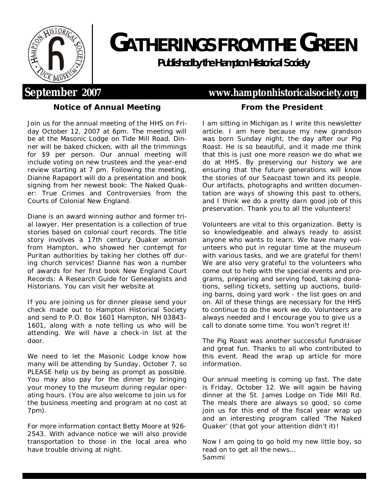

# **GATHERINGS FROM THEGREEN**

**Publishedby the Hampton Historical Society**

## **September 2007 <www.hamptonhistoricalsociety.org>**

## **Notice of Annual Meeting**

Join us for the annual meeting of the HHS on Friday October 12, 2007 at 6pm. The meeting will be at the Masonic Lodge on Tide Mill Road. Dinner will be baked chicken, with all the trimmings for \$9 per person. Our annual meeting will include voting on new trustees and the year-end review starting at 7 pm. Following the meeting, Dianne Rapaport will do a presentation and book signing from her newest book: *The Naked Quaker: True Crimes and Controversies from the Courts of Colonial New England.*

Diane is an award winning author and former trial lawyer. Her presentation is a collection of true stories based on colonial court records. The title story involves a 17th century Quaker woman from Hampton, who showed her contempt for Puritan authorities by taking her clothes off during church services! Dianne has won a number of awards for her first book New England Court Records: A Research Guide for Genealogists and Historians. You can visit her website at

If you are joining us for dinner please send your check made out to Hampton Historical Society and send to P.O. Box 1601 Hampton, NH 03843- 1601, along with a note telling us who will be attending. We will have a check-in list at the door.

We need to let the Masonic Lodge know how many will be attending by Sunday, October 7, so PLEASE help us by being as prompt as possible. You may also pay for the dinner by bringing your money to the museum during regular operating hours. (You are also welcome to join us for the business meeting and program at no cost at 7pm).

For more information contact Betty Moore at 926- 2543. With advance notice we will also provide transportation to those in the local area who have trouble driving at night.

### **From the President**

I am sitting in Michigan as I write this newsletter article. I am here because my new grandson was born Sunday night, the day after our Pig Roast. He is so beautiful, and it made me think that this is just one more reason we do what we do at HHS. By preserving our history we are ensuring that the future generations will know the stories of our Seacoast town and its people. Our artifacts, photographs and written documentation are ways of showing this past to others, and I think we do a pretty darn good job of this preservation. Thank you to all the volunteers!

Volunteers are vital to this organization. Betty is so knowledgeable and always ready to assist anyone who wants to learn. We have many volunteers who put in regular time at the museum with various tasks, and we are grateful for them! We are also very grateful to the volunteers who come out to help with the special events and programs, preparing and serving food, taking donations, selling tickets, setting up auctions, building barns, doing yard work - the list goes on and on. All of these things are necessary for the HHS to continue to do the work we do. Volunteers are always needed and I encourage you to give us a call to donate some time. You won't regret it!

The Pig Roast was another successful fundraiser and great fun. Thanks to all who contributed to this event. Read the wrap up article for more information.

Our annual meeting is coming up fast. The date is Friday, October 12. We will again be having dinner at the St. James Lodge on Tide Mill Rd. The meals there are always so good, so come join us for this end of the fiscal year wrap up and an interesting program called 'The Naked Quaker' (that got your attention didn't it)!

Now I am going to go hold my new little boy, so read on to get all the news… Sammi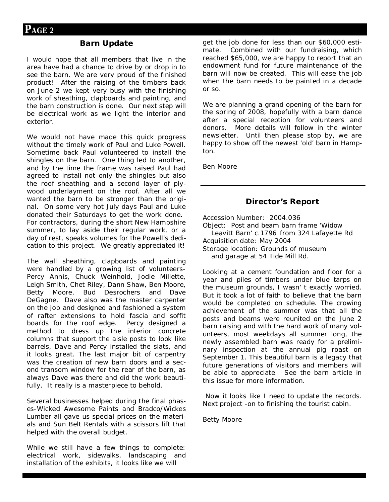#### **Barn Update**

I would hope that all members that live in the area have had a chance to drive by or drop in to see the barn. We are very proud of the finished product! After the raising of the timbers back on June 2 we kept very busy with the finishing work of sheathing, clapboards and painting, and the barn construction is done. Our next step will be electrical work as we light the interior and exterior.

We would not have made this quick progress without the timely work of Paul and Luke Powell. Sometime back Paul volunteered to install the shingles on the barn. One thing led to another, and by the time the frame was raised Paul had agreed to install not only the shingles but also the roof sheathing and a second layer of plywood underlayment on the roof. After all we wanted the barn to be stronger than the original. On some very hot July days Paul and Luke donated their Saturdays to get the work done. For contractors, during the short New Hampshire summer, to lay aside their regular work, or a day of rest, speaks volumes for the Powell's dedication to this project. We greatly appreciated it!

The wall sheathing, clapboards and painting were handled by a growing list of volunteers-Percy Annis, Chuck Weinhold, Jodie Millette, Leigh Smith, Chet Riley, Dann Shaw, Ben Moore, Betty Moore, Bud Desrochers and Dave DeGagne. Dave also was the master carpenter on the job and designed and fashioned a system of rafter extensions to hold fascia and soffit boards for the roof edge. Percy designed a method to dress up the interior concrete columns that support the aisle posts to look like barrels, Dave and Percy installed the slats, and it looks great. The last major bit of carpentry was the creation of new barn doors and a second transom window for the rear of the barn, as always Dave was there and did the work beautifully. It really is a masterpiece to behold.

Several businesses helped during the final phases-Wicked Awesome Paints and Bradco/Wickes Lumber all gave us special prices on the materials and Sun Belt Rentals with a scissors lift that helped with the overall budget.

While we still have a few things to complete: electrical work, sidewalks, landscaping and installation of the exhibits, it looks like we will

get the job done for less than our \$60,000 estimate. Combined with our fundraising, which reached \$65,000, we are happy to report that an endowment fund for future maintenance of the barn will now be created. This will ease the job when the barn needs to be painted in a decade or so.

We are planning a grand opening of the barn for the spring of 2008, hopefully with a barn dance after a special reception for volunteers and donors. More details will follow in the winter newsletter. Until then please stop by, we are happy to show off the newest 'old' barn in Hampton.

Ben Moore

#### **Director's Report**

Accession Number: 2004.036

Object: Post and beam barn frame 'Widow Leavitt Barn' c.1796 from 324 Lafayette Rd Acquisition date: May 2004 Storage location: Grounds of museum and garage at 54 Tide Mill Rd.

Looking at a cement foundation and floor for a year and piles of timbers under blue tarps on the museum grounds, I wasn' t exactly worried. But it took a lot of faith to believe that the barn would be completed on schedule. The crowing achievement of the summer was that all the posts and beams were reunited on the June 2 barn raising and with the hard work of many volunteers, most weekdays all summer long, the newly assembled barn was ready for a preliminary inspection at the annual pig roast on September 1. This beautiful barn is a legacy that future generations of visitors and members will be able to appreciate. See the barn article in this issue for more information.

Now it looks like I need to update the records. Next project -on to finishing the tourist cabin.

Betty Moore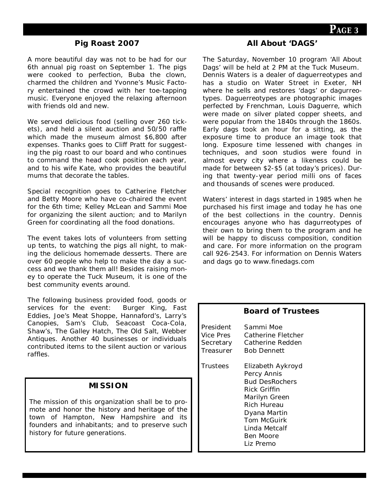#### **Pig Roast 2007**

A more beautiful day was not to be had for our 6th annual pig roast on September 1. The pigs were cooked to perfection, Buba the clown, charmed the children and Yvonne's Music Factory entertained the crowd with her toe-tapping music. Everyone enjoyed the relaxing afternoon with friends old and new.

We served delicious food (selling over 260 tickets), and held a silent auction and 50/50 raffle which made the museum almost \$6,800 after expenses. Thanks goes to Cliff Pratt for suggesting the pig roast to our board and who continues to command the head cook position each year, and to his wife Kate, who provides the beautiful mums that decorate the tables.

Special recognition goes to Catherine Fletcher and Betty Moore who have co-chaired the event for the 6th time; Kelley McLean and Sammi Moe for organizing the silent auction; and to Marilyn Green for coordinating all the food donations.

The event takes lots of volunteers from setting up tents, to watching the pigs all night, to making the delicious homemade desserts. There are over 60 people who help to make the day a success and we thank them all! Besides raising money to operate the Tuck Museum, it is one of the best community events around.

The following business provided food, goods or services for the event: Burger King, Fast services for the event: Eddies, Joe's Meat Shoppe, Hannaford's, Larry's Canopies, Sam's Club, Seacoast Coca-Cola, Shaw's, The Galley Hatch, The Old Salt, Webber Antiques. Another 40 businesses or individuals contributed items to the silent auction or various raffles.

#### **MISSION**

The mission of this organization shall be to promote and honor the history and heritage of the town of Hampton, New Hampshire and its founders and inhabitants; and to preserve such history for future generations.

#### **All About 'DAGS'**

The Saturday, November 10 program 'All About Dags' will be held at 2 PM at the Tuck Museum. Dennis Waters is a dealer of daguerreotypes and has a studio on Water Street in Exeter, NH where he sells and restores 'dags' or dagurreotypes. Daguerreotypes are photographic images perfected by Frenchman, Louis Daguerre, which were made on silver plated copper sheets, and were popular from the 1840s through the 1860s. Early dags took an hour for a sitting, as the exposure time to produce an image took that long. Exposure time lessened with changes in techniques, and soon studios were found in almost every city where a likeness could be made for between \$2-\$5 (at today's prices). During that twenty-year period milli ons of faces and thousands of scenes were produced.

Waters' interest in dags started in 1985 when he purchased his first image and today he has one of the best collections in the country. Dennis encourages anyone who has dagurreotypes of their own to bring them to the program and he will be happy to discuss composition, condition and care. For more information on the program call 926-2543. For information on Dennis Waters and dags go to w[ww.finedags.com](www.finedags.com)

|                                                  | DUALU UL ILUSIEES                                                                                                                                                                                 |
|--------------------------------------------------|---------------------------------------------------------------------------------------------------------------------------------------------------------------------------------------------------|
| President<br>Vice Pres<br>Secretary<br>Treasurer | Sammi Moe<br>Catherine Fletcher<br>Catherine Redden<br><b>Bob Dennett</b>                                                                                                                         |
| Trustees                                         | Elizabeth Aykroyd<br>Percy Annis<br><b>Bud DesRochers</b><br>Rick Griffin<br>Marilyn Green<br><b>Rich Hureau</b><br>Dyana Martin<br><b>Tom McGuirk</b><br>Linda Metcalf<br>Ben Moore<br>Liz Premo |

**Board of Trustees**